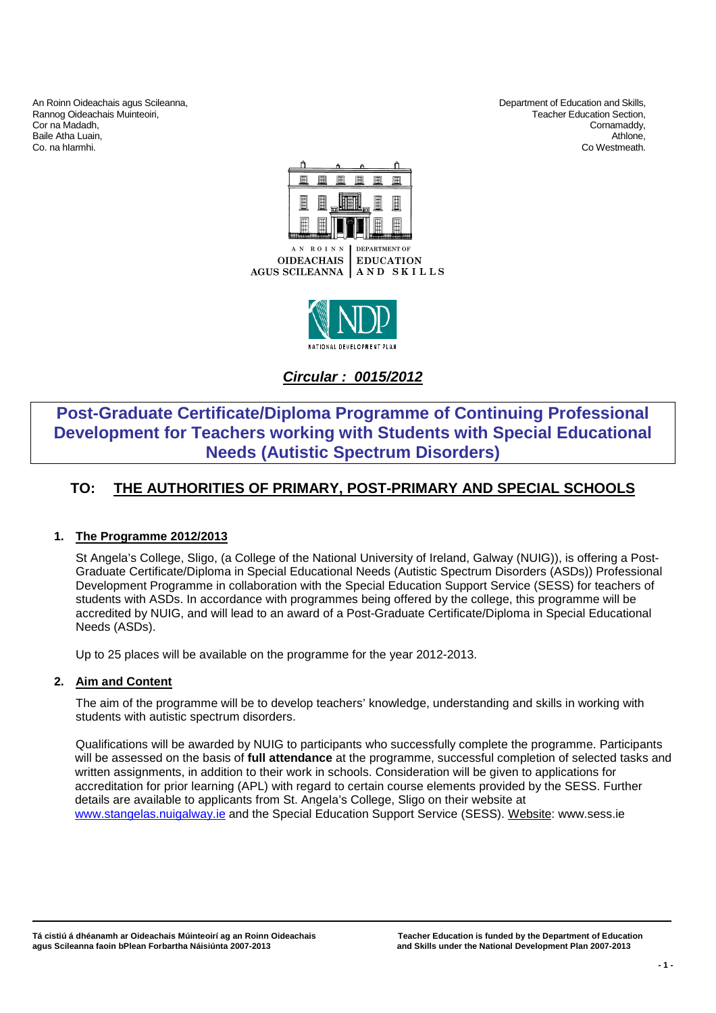An Roinn Oideachais agus Scileanna,<br>
Rannog Oideachais Muinteoiri, Christian and Skills, Department of Education and Skills, Department of Education and Skills, Rannog Oideachais Muinteoiri, and the community of the community of the community of the community of the community of the community of the community of the community of the community of the community of the community of t Cor na Madadh, Cornamaddy, Baile Atha Luain, Athlone, Athlone, Athlone, Athlone, Athlone, Athlone, Athlone, Athlone, Athlone, Athlone, Athlone, Athlone, Athlone, Athlone, Athlone, Athlone, Athlone, Athlone, Athlone, Athlone, Athlone, Athlone, Athlon

Co. na hIarmhi. Co Westmeath.





**Circular : 0015/2012**

# **Post-Graduate Certificate/Diploma Programme of Continuing Professional Development for Teachers working with Students with Special Educational Needs (Autistic Spectrum Disorders)**

## **TO: THE AUTHORITIES OF PRIMARY, POST-PRIMARY AND SPECIAL SCHOOLS**

## **1. The Programme 2012/2013**

St Angela's College, Sligo, (a College of the National University of Ireland, Galway (NUIG)), is offering a Post-Graduate Certificate/Diploma in Special Educational Needs (Autistic Spectrum Disorders (ASDs)) Professional Development Programme in collaboration with the Special Education Support Service (SESS) for teachers of students with ASDs. In accordance with programmes being offered by the college, this programme will be accredited by NUIG, and will lead to an award of a Post-Graduate Certificate/Diploma in Special Educational Needs (ASDs).

Up to 25 places will be available on the programme for the year 2012-2013.

## **2. Aim and Content**

The aim of the programme will be to develop teachers' knowledge, understanding and skills in working with students with autistic spectrum disorders.

Qualifications will be awarded by NUIG to participants who successfully complete the programme. Participants will be assessed on the basis of **full attendance** at the programme, successful completion of selected tasks and written assignments, in addition to their work in schools. Consideration will be given to applications for accreditation for prior learning (APL) with regard to certain course elements provided by the SESS. Further details are available to applicants from St. Angela's College, Sligo on their website at www.stangelas.nuigalway.ie and the Special Education Support Service (SESS). Website: www.sess.ie

 **\_\_\_\_\_\_\_**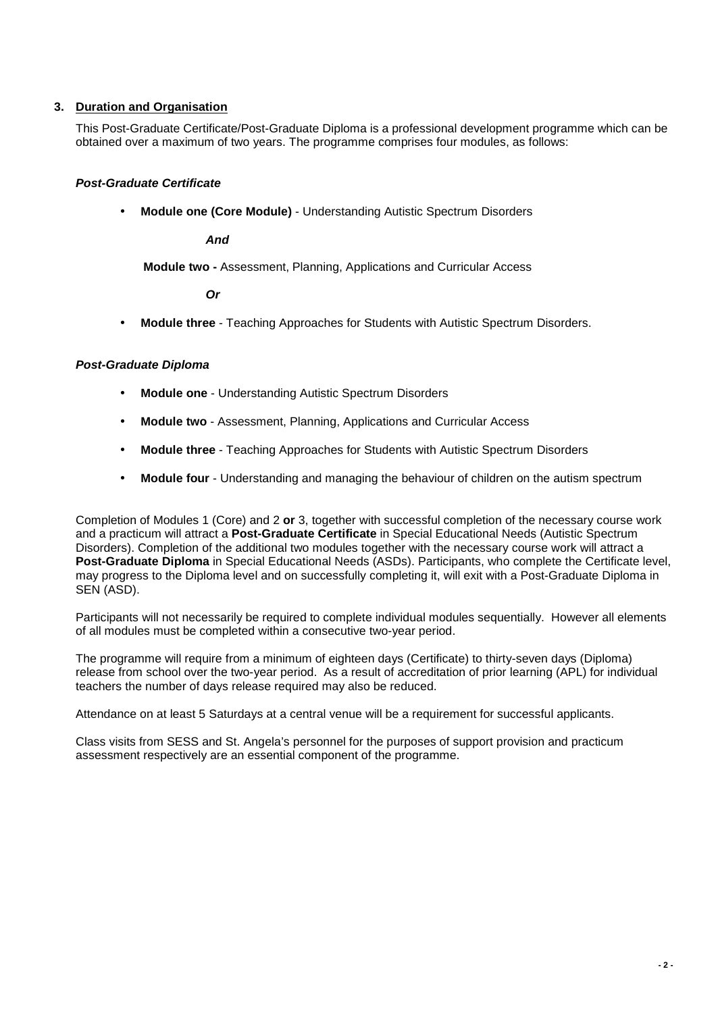## **3. Duration and Organisation**

This Post-Graduate Certificate/Post-Graduate Diploma is a professional development programme which can be obtained over a maximum of two years. The programme comprises four modules, as follows:

## **Post-Graduate Certificate**

• **Module one (Core Module)** - Understanding Autistic Spectrum Disorders

**And** 

**Module two -** Assessment, Planning, Applications and Curricular Access

 **Or** 

• **Module three** - Teaching Approaches for Students with Autistic Spectrum Disorders.

## **Post-Graduate Diploma**

- **Module one** Understanding Autistic Spectrum Disorders
- **Module two** Assessment, Planning, Applications and Curricular Access
- **Module three** Teaching Approaches for Students with Autistic Spectrum Disorders
- **Module four** Understanding and managing the behaviour of children on the autism spectrum

Completion of Modules 1 (Core) and 2 **or** 3, together with successful completion of the necessary course work and a practicum will attract a **Post-Graduate Certificate** in Special Educational Needs (Autistic Spectrum Disorders). Completion of the additional two modules together with the necessary course work will attract a **Post-Graduate Diploma** in Special Educational Needs (ASDs). Participants, who complete the Certificate level, may progress to the Diploma level and on successfully completing it, will exit with a Post-Graduate Diploma in SEN (ASD).

Participants will not necessarily be required to complete individual modules sequentially. However all elements of all modules must be completed within a consecutive two-year period.

The programme will require from a minimum of eighteen days (Certificate) to thirty-seven days (Diploma) release from school over the two-year period. As a result of accreditation of prior learning (APL) for individual teachers the number of days release required may also be reduced.

Attendance on at least 5 Saturdays at a central venue will be a requirement for successful applicants.

Class visits from SESS and St. Angela's personnel for the purposes of support provision and practicum assessment respectively are an essential component of the programme.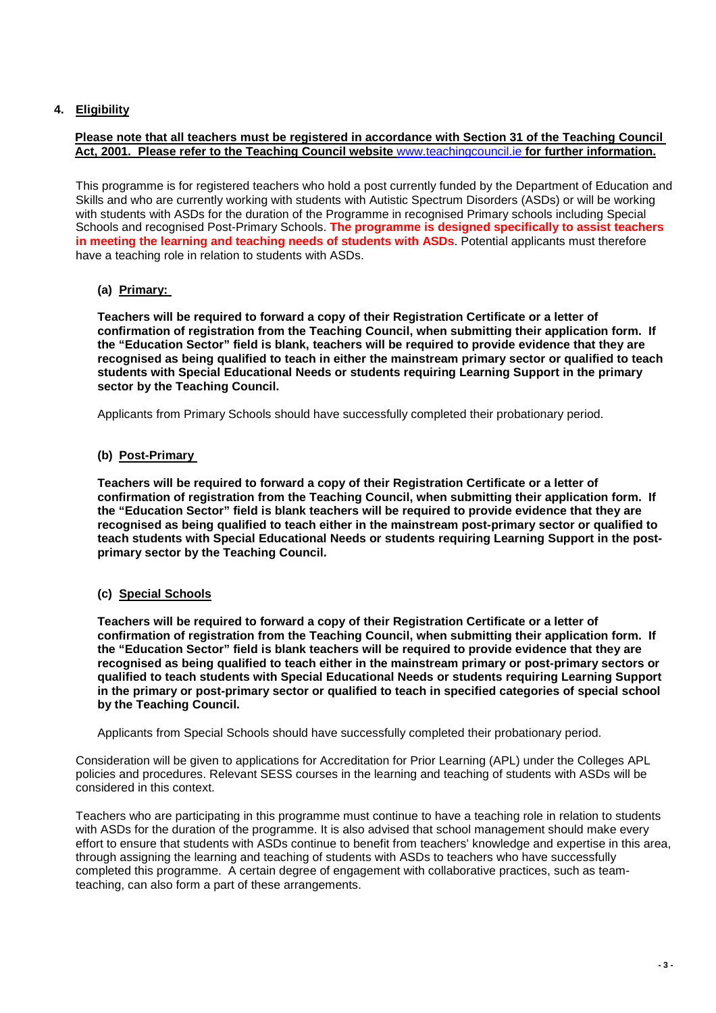## **4. Eligibility**

#### **Please note that all teachers must be registered in accordance with Section 31 of the Teaching Council Act, 2001. Please refer to the Teaching Council website** www.teachingcouncil.ie **for further information.**

This programme is for registered teachers who hold a post currently funded by the Department of Education and Skills and who are currently working with students with Autistic Spectrum Disorders (ASDs) or will be working with students with ASDs for the duration of the Programme in recognised Primary schools including Special Schools and recognised Post-Primary Schools. **The programme is designed specifically to assist teachers in meeting the learning and teaching needs of students with ASDs**. Potential applicants must therefore have a teaching role in relation to students with ASDs.

## **(a) Primary:**

**Teachers will be required to forward a copy of their Registration Certificate or a letter of confirmation of registration from the Teaching Council, when submitting their application form. If the "Education Sector" field is blank, teachers will be required to provide evidence that they are recognised as being qualified to teach in either the mainstream primary sector or qualified to teach students with Special Educational Needs or students requiring Learning Support in the primary sector by the Teaching Council.** 

Applicants from Primary Schools should have successfully completed their probationary period.

#### **(b) Post-Primary**

**Teachers will be required to forward a copy of their Registration Certificate or a letter of confirmation of registration from the Teaching Council, when submitting their application form. If the "Education Sector" field is blank teachers will be required to provide evidence that they are recognised as being qualified to teach either in the mainstream post-primary sector or qualified to teach students with Special Educational Needs or students requiring Learning Support in the postprimary sector by the Teaching Council.** 

#### **(c) Special Schools**

**Teachers will be required to forward a copy of their Registration Certificate or a letter of confirmation of registration from the Teaching Council, when submitting their application form. If the "Education Sector" field is blank teachers will be required to provide evidence that they are recognised as being qualified to teach either in the mainstream primary or post-primary sectors or qualified to teach students with Special Educational Needs or students requiring Learning Support in the primary or post-primary sector or qualified to teach in specified categories of special school by the Teaching Council.** 

Applicants from Special Schools should have successfully completed their probationary period.

Consideration will be given to applications for Accreditation for Prior Learning (APL) under the Colleges APL policies and procedures. Relevant SESS courses in the learning and teaching of students with ASDs will be considered in this context.

Teachers who are participating in this programme must continue to have a teaching role in relation to students with ASDs for the duration of the programme. It is also advised that school management should make every effort to ensure that students with ASDs continue to benefit from teachers' knowledge and expertise in this area, through assigning the learning and teaching of students with ASDs to teachers who have successfully completed this programme. A certain degree of engagement with collaborative practices, such as teamteaching, can also form a part of these arrangements.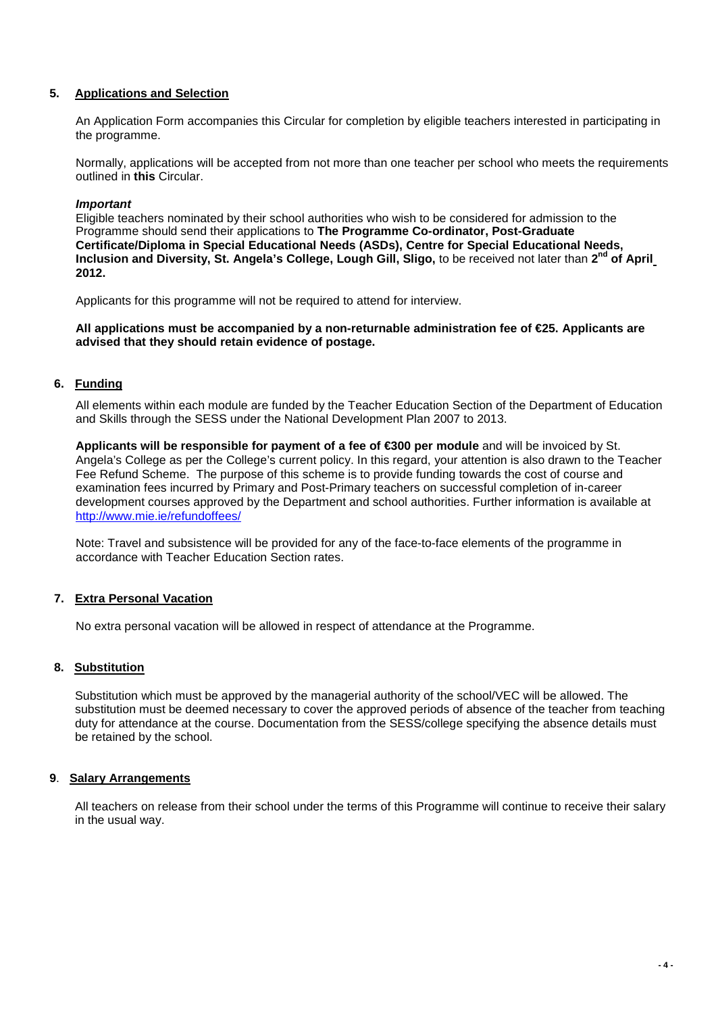## **5. Applications and Selection**

An Application Form accompanies this Circular for completion by eligible teachers interested in participating in the programme.

Normally, applications will be accepted from not more than one teacher per school who meets the requirements outlined in **this** Circular.

#### **Important**

Eligible teachers nominated by their school authorities who wish to be considered for admission to the Programme should send their applications to **The Programme Co-ordinator, Post-Graduate Certificate/Diploma in Special Educational Needs (ASDs), Centre for Special Educational Needs, Inclusion and Diversity, St. Angela's College, Lough Gill, Sligo,** to be received not later than **2nd of April 2012.** 

Applicants for this programme will not be required to attend for interview.

**All applications must be accompanied by a non-returnable administration fee of €25. Applicants are advised that they should retain evidence of postage.** 

## **6. Funding**

All elements within each module are funded by the Teacher Education Section of the Department of Education and Skills through the SESS under the National Development Plan 2007 to 2013.

**Applicants will be responsible for payment of a fee of €300 per module** and will be invoiced by St. Angela's College as per the College's current policy. In this regard, your attention is also drawn to the Teacher Fee Refund Scheme. The purpose of this scheme is to provide funding towards the cost of course and examination fees incurred by Primary and Post-Primary teachers on successful completion of in-career development courses approved by the Department and school authorities. Further information is available at http://www.mie.ie/refundoffees/

Note: Travel and subsistence will be provided for any of the face-to-face elements of the programme in accordance with Teacher Education Section rates.

## **7. Extra Personal Vacation**

No extra personal vacation will be allowed in respect of attendance at the Programme.

#### **8. Substitution**

Substitution which must be approved by the managerial authority of the school/VEC will be allowed. The substitution must be deemed necessary to cover the approved periods of absence of the teacher from teaching duty for attendance at the course. Documentation from the SESS/college specifying the absence details must be retained by the school.

#### **9**. **Salary Arrangements**

All teachers on release from their school under the terms of this Programme will continue to receive their salary in the usual way.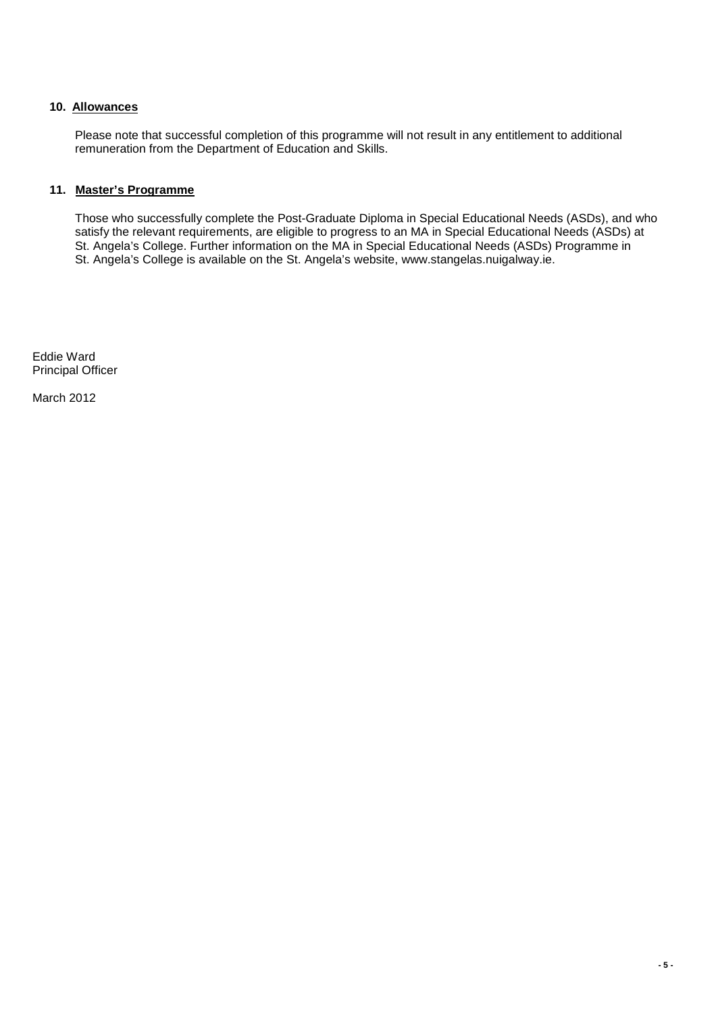## **10. Allowances**

Please note that successful completion of this programme will not result in any entitlement to additional remuneration from the Department of Education and Skills.

## **11. Master's Programme**

Those who successfully complete the Post-Graduate Diploma in Special Educational Needs (ASDs), and who satisfy the relevant requirements, are eligible to progress to an MA in Special Educational Needs (ASDs) at St. Angela's College. Further information on the MA in Special Educational Needs (ASDs) Programme in St. Angela's College is available on the St. Angela's website, www.stangelas.nuigalway.ie.

Eddie Ward Principal Officer

March 2012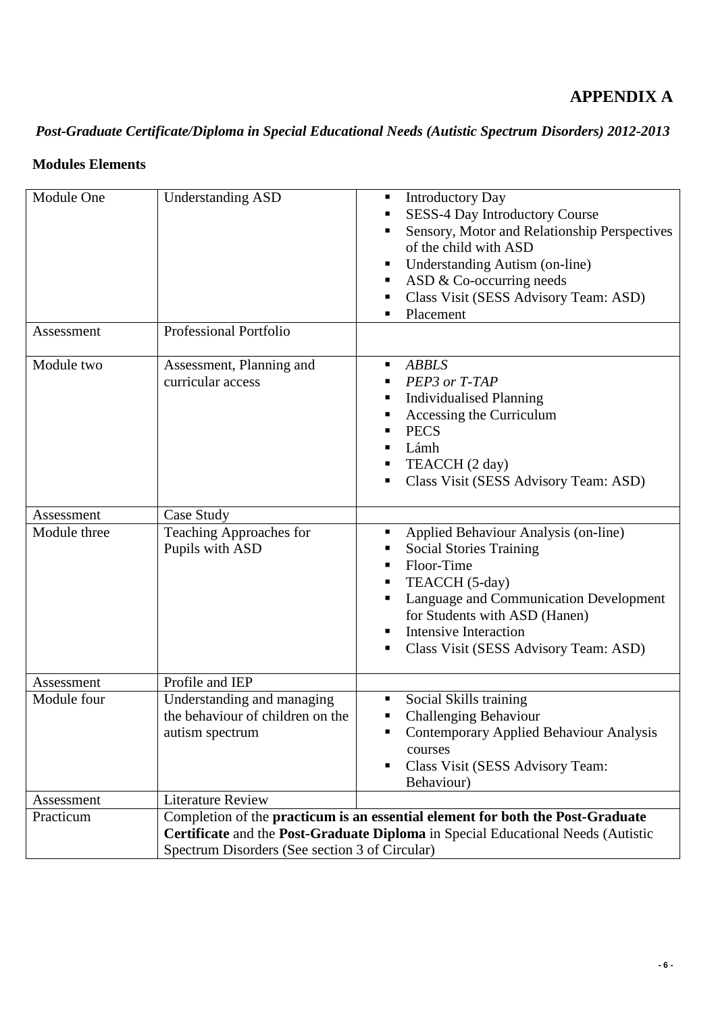# **APPENDIX A**

# *Post-Graduate Certificate/Diploma in Special Educational Needs (Autistic Spectrum Disorders) 2012-2013*

## **Modules Elements**

| Module One<br>Assessment   | <b>Understanding ASD</b><br><b>Professional Portfolio</b>                                            | <b>Introductory Day</b><br>Ξ<br>SESS-4 Day Introductory Course<br>Sensory, Motor and Relationship Perspectives<br>п<br>of the child with ASD<br><b>Understanding Autism (on-line)</b><br>ш<br>ASD & Co-occurring needs<br>Class Visit (SESS Advisory Team: ASD)<br>п<br>Placement<br>٠ |
|----------------------------|------------------------------------------------------------------------------------------------------|----------------------------------------------------------------------------------------------------------------------------------------------------------------------------------------------------------------------------------------------------------------------------------------|
| Module two                 | Assessment, Planning and<br>curricular access                                                        | <b>ABBLS</b><br>٠<br>PEP3 or T-TAP<br><b>Individualised Planning</b><br>Accessing the Curriculum<br>п<br><b>PECS</b><br>п<br>Lámh<br>п<br>TEACCH (2 day)<br>Class Visit (SESS Advisory Team: ASD)                                                                                      |
| Assessment<br>Module three | Case Study<br>Teaching Approaches for<br>Pupils with ASD                                             | Applied Behaviour Analysis (on-line)<br>٠<br><b>Social Stories Training</b><br>Floor-Time<br>٠<br>TEACCH (5-day)<br>ш<br>Language and Communication Development<br>for Students with ASD (Hanen)<br><b>Intensive Interaction</b><br>٠<br>Class Visit (SESS Advisory Team: ASD)<br>п    |
| Assessment<br>Module four  | Profile and IEP<br>Understanding and managing<br>the behaviour of children on the<br>autism spectrum | Social Skills training<br><b>Challenging Behaviour</b><br>п<br>Contemporary Applied Behaviour Analysis<br>٠<br>courses<br>Class Visit (SESS Advisory Team:<br>٠<br>Behaviour)                                                                                                          |
| Assessment<br>Practicum    | <b>Literature Review</b><br>Spectrum Disorders (See section 3 of Circular)                           | Completion of the practicum is an essential element for both the Post-Graduate<br>Certificate and the Post-Graduate Diploma in Special Educational Needs (Autistic                                                                                                                     |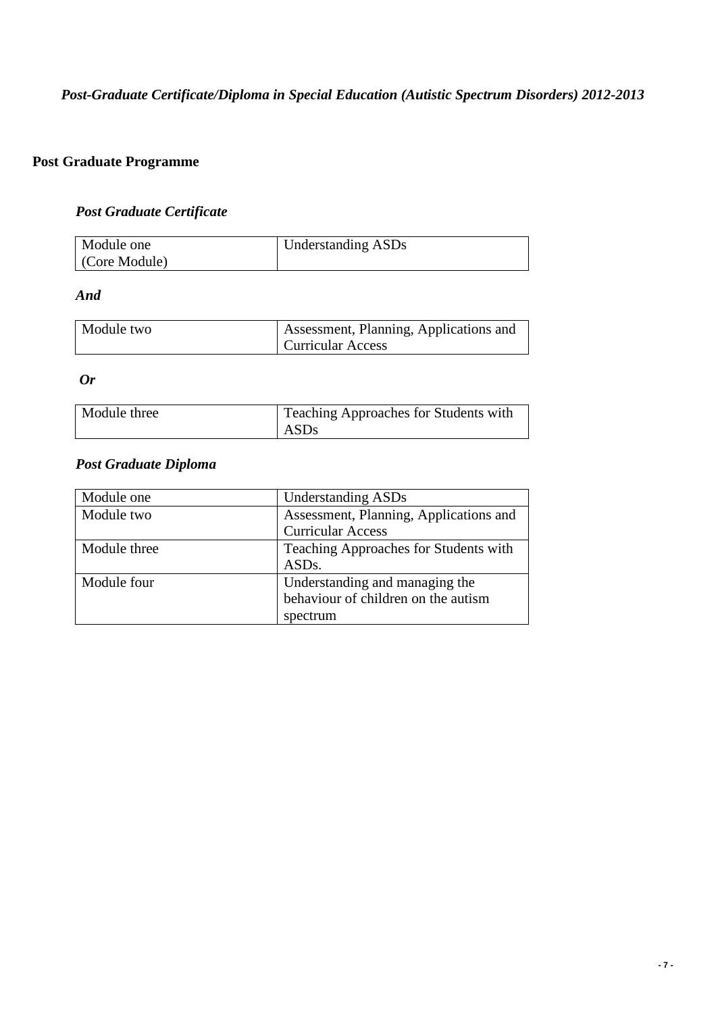# *Post-Graduate Certificate/Diploma in Special Education (Autistic Spectrum Disorders) 2012-2013*

## **Post Graduate Programme**

## *Post Graduate Certificate*

| Module one   | Understanding ASDs |
|--------------|--------------------|
| Core Module) |                    |

## *And*

| Module two | Assessment, Planning, Applications and |
|------------|----------------------------------------|
|            | <b>Curricular Access</b>               |

*Or* 

| Module three | Teaching Approaches for Students with |
|--------------|---------------------------------------|
|              | ASDs                                  |

## *Post Graduate Diploma*

| Module one   | <b>Understanding ASDs</b>              |
|--------------|----------------------------------------|
| Module two   | Assessment, Planning, Applications and |
|              | <b>Curricular Access</b>               |
| Module three | Teaching Approaches for Students with  |
|              | ASD <sub>s</sub> .                     |
| Module four  | Understanding and managing the         |
|              | behaviour of children on the autism    |
|              | spectrum                               |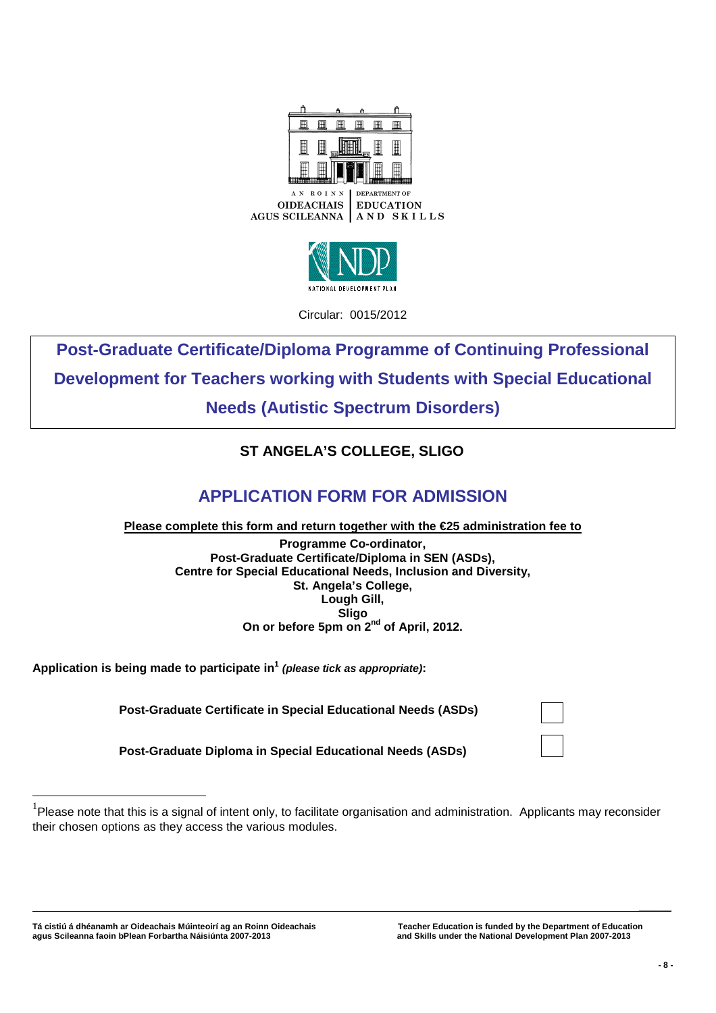



Circular: 0015/2012

**Post-Graduate Certificate/Diploma Programme of Continuing Professional Development for Teachers working with Students with Special Educational Needs (Autistic Spectrum Disorders)** 

# **ST ANGELA'S COLLEGE, SLIGO**

# **APPLICATION FORM FOR ADMISSION**

**Please complete this form and return together with the €25 administration fee to**

**Programme Co-ordinator, Post-Graduate Certificate/Diploma in SEN (ASDs), Centre for Special Educational Needs, Inclusion and Diversity, St. Angela's College, Lough Gill, Sligo On or before 5pm on 2nd of April, 2012.** 

**Application is being made to participate in<sup>1</sup> (please tick as appropriate):** 

 **Post-Graduate Certificate in Special Educational Needs (ASDs)** 

 **Post-Graduate Diploma in Special Educational Needs (ASDs)** 

**Tá cistiú á dhéanamh ar Oideachais Múinteoirí ag an Roinn Oideachais Teacher Education is funded by the Department of Education agus Scileanna faoin bPlean Forbartha Náisiúnta 2007-2013 and Skills under the National Development Plan 2007-2013** 

 $\overline{a}$ 

 **\_\_\_\_\_\_\_**

 $1$ Please note that this is a signal of intent only, to facilitate organisation and administration. Applicants may reconsider their chosen options as they access the various modules.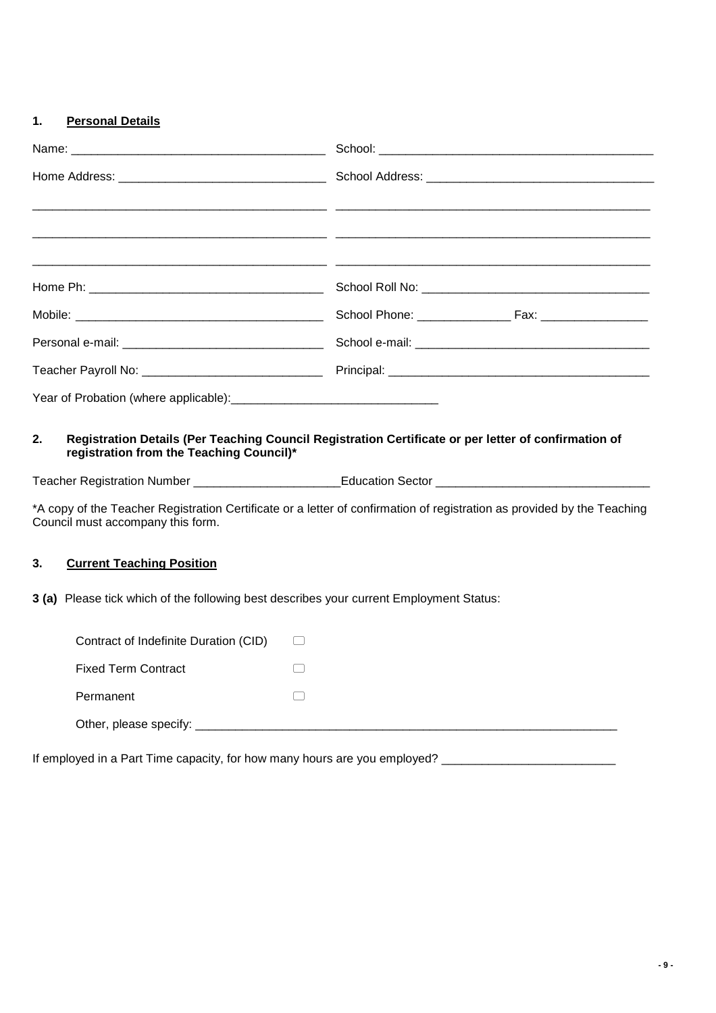## **1. Personal Details**

| 2.<br>registration from the Teaching Council)*<br>Council must accompany this form.     | Registration Details (Per Teaching Council Registration Certificate or per letter of confirmation of<br>Teacher Registration Number ______________________________Education Sector ___________________________________<br>*A copy of the Teacher Registration Certificate or a letter of confirmation of registration as provided by the Teaching |  |
|-----------------------------------------------------------------------------------------|---------------------------------------------------------------------------------------------------------------------------------------------------------------------------------------------------------------------------------------------------------------------------------------------------------------------------------------------------|--|
| 3.<br><b>Current Teaching Position</b>                                                  |                                                                                                                                                                                                                                                                                                                                                   |  |
| 3 (a) Please tick which of the following best describes your current Employment Status: |                                                                                                                                                                                                                                                                                                                                                   |  |
| Contract of Indefinite Duration (CID)                                                   | $\begin{pmatrix} 1 & 1 \\ 1 & 1 \end{pmatrix}$                                                                                                                                                                                                                                                                                                    |  |
| <b>Fixed Term Contract</b>                                                              |                                                                                                                                                                                                                                                                                                                                                   |  |
| Permanent                                                                               |                                                                                                                                                                                                                                                                                                                                                   |  |
|                                                                                         |                                                                                                                                                                                                                                                                                                                                                   |  |

If employed in a Part Time capacity, for how many hours are you employed? \_\_\_\_\_\_\_\_\_\_\_\_\_\_\_\_\_\_\_\_\_\_\_\_\_\_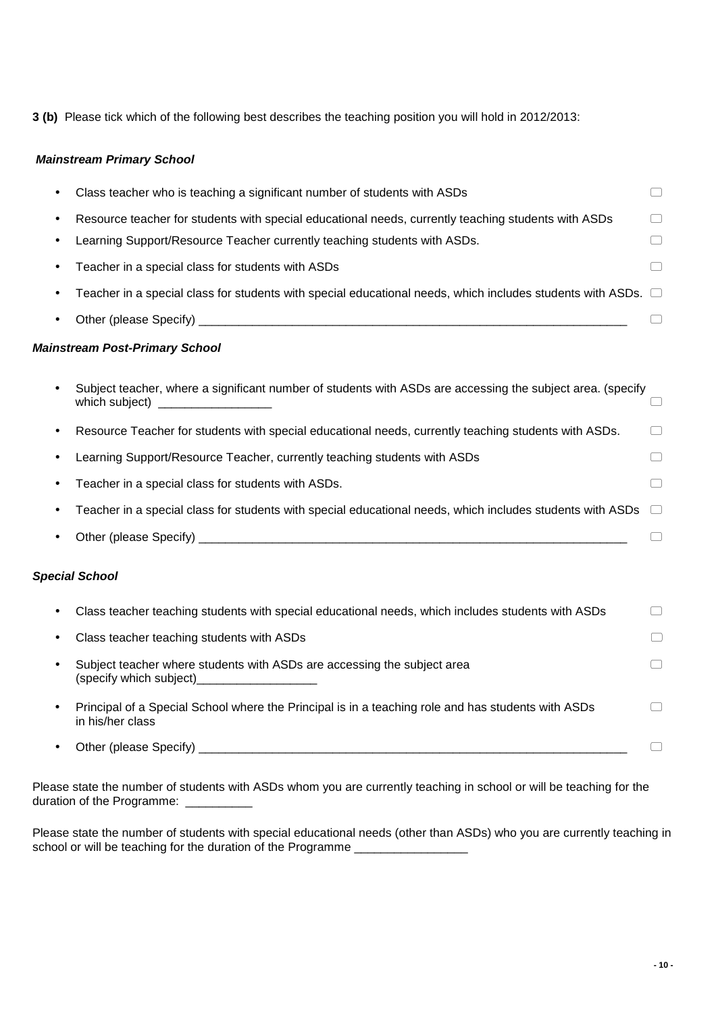**3 (b)** Please tick which of the following best describes the teaching position you will hold in 2012/2013:

## **Mainstream Primary School**

|   | Class teacher who is teaching a significant number of students with ASDs                                                                                | $\hspace{1.5cm} \square$        |
|---|---------------------------------------------------------------------------------------------------------------------------------------------------------|---------------------------------|
|   | Resource teacher for students with special educational needs, currently teaching students with ASDs                                                     |                                 |
|   | Learning Support/Resource Teacher currently teaching students with ASDs.                                                                                | □                               |
|   | Teacher in a special class for students with ASDs                                                                                                       | $(\ )$                          |
|   | Teacher in a special class for students with special educational needs, which includes students with ASDs. $\Box$                                       |                                 |
|   |                                                                                                                                                         |                                 |
|   | <b>Mainstream Post-Primary School</b>                                                                                                                   |                                 |
|   | Subject teacher, where a significant number of students with ASDs are accessing the subject area. (specify<br>which subject)                            |                                 |
| ٠ | Resource Teacher for students with special educational needs, currently teaching students with ASDs.                                                    | $\Box$                          |
|   | Learning Support/Resource Teacher, currently teaching students with ASDs                                                                                | $\Box$                          |
|   | Teacher in a special class for students with ASDs.                                                                                                      | $(\ )$                          |
|   | Teacher in a special class for students with special educational needs, which includes students with ASDs                                               |                                 |
|   |                                                                                                                                                         |                                 |
|   | <b>Special School</b>                                                                                                                                   |                                 |
|   | Class teacher teaching students with special educational needs, which includes students with ASDs                                                       | $(\ )$                          |
|   | Class teacher teaching students with ASDs                                                                                                               |                                 |
| ٠ | Subject teacher where students with ASDs are accessing the subject area<br>(specify which subject)<br><u> 1980 - John Stone, amerikansk politiker (</u> | $\begin{array}{cc} \end{array}$ |
|   | Principal of a Special School where the Principal is in a teaching role and has students with ASDs<br>in his/her class                                  | $(\quad)$                       |
|   | Other (please Specify)                                                                                                                                  |                                 |

Please state the number of students with ASDs whom you are currently teaching in school or will be teaching for the duration of the Programme:

Please state the number of students with special educational needs (other than ASDs) who you are currently teaching in school or will be teaching for the duration of the Programme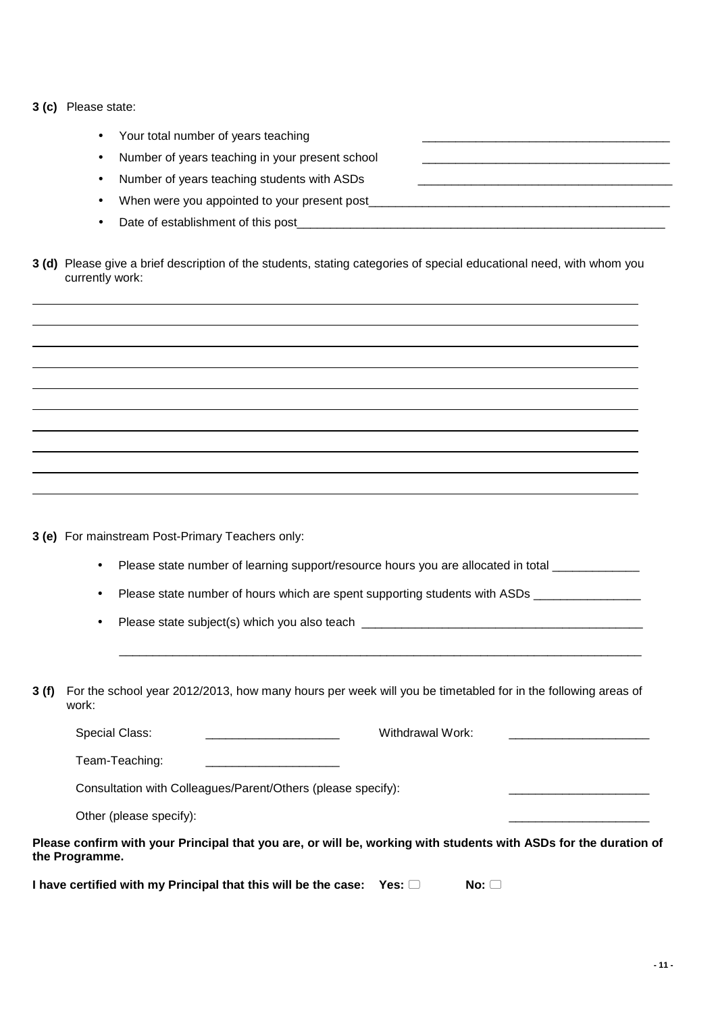|  |  | 3 (c) Please state: |  |
|--|--|---------------------|--|
|--|--|---------------------|--|

| Your total number of years teaching             |
|-------------------------------------------------|
| Number of years teaching in your present school |
| Number of years teaching students with ASDs     |
| When were you appointed to your present post    |
| Date of establishment of this post              |

**3 (d)** Please give a brief description of the students, stating categories of special educational need, with whom you currently work:

**3 (e)** For mainstream Post-Primary Teachers only:

Please state number of learning support/resource hours you are allocated in total \_\_\_\_\_\_\_\_\_\_\_\_\_\_\_

Please state number of hours which are spent supporting students with ASDs \_\_\_\_\_\_\_\_\_\_\_\_\_\_\_\_\_\_\_\_\_\_\_\_\_\_\_\_\_\_\_\_\_\_\_

• Please state subject(s) which you also teach \_\_\_\_\_\_\_\_\_\_\_\_\_\_\_\_\_\_\_\_\_\_\_\_\_\_\_\_\_\_\_\_\_

**3 (f)** For the school year 2012/2013, how many hours per week will you be timetabled for in the following areas of work:

 $\mathcal{L}_\mathcal{L} = \mathcal{L}_\mathcal{L} = \mathcal{L}_\mathcal{L} = \mathcal{L}_\mathcal{L} = \mathcal{L}_\mathcal{L} = \mathcal{L}_\mathcal{L} = \mathcal{L}_\mathcal{L} = \mathcal{L}_\mathcal{L} = \mathcal{L}_\mathcal{L} = \mathcal{L}_\mathcal{L} = \mathcal{L}_\mathcal{L} = \mathcal{L}_\mathcal{L} = \mathcal{L}_\mathcal{L} = \mathcal{L}_\mathcal{L} = \mathcal{L}_\mathcal{L} = \mathcal{L}_\mathcal{L} = \mathcal{L}_\mathcal{L}$ 

Special Class: external work:  $\blacksquare$ Team-Teaching: \_\_\_\_\_\_\_\_\_\_\_\_\_\_\_\_\_\_\_\_

Consultation with Colleagues/Parent/Others (please specify):

Other (please specify):

**Please confirm with your Principal that you are, or will be, working with students with ASDs for the duration of the Programme.** 

**I have certified with my Principal that this will be the case: Yes:**  $\Box$  **No:**  $\Box$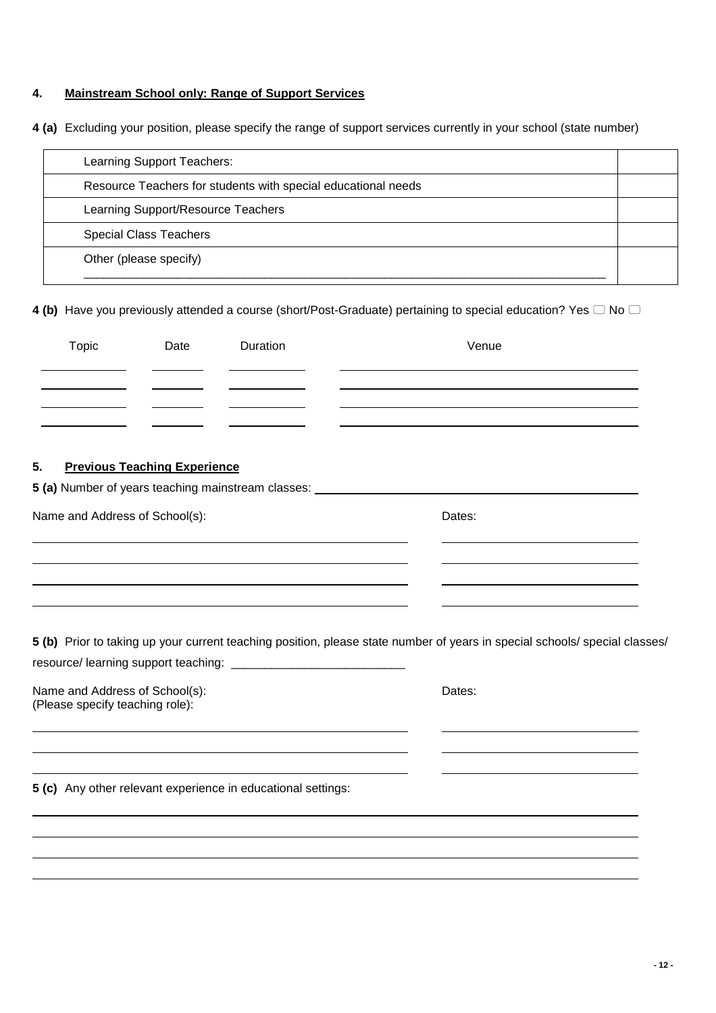## **4. Mainstream School only: Range of Support Services**

**4 (a)** Excluding your position, please specify the range of support services currently in your school (state number)

| Learning Support Teachers:                                    |  |
|---------------------------------------------------------------|--|
| Resource Teachers for students with special educational needs |  |
| Learning Support/Resource Teachers                            |  |
| <b>Special Class Teachers</b>                                 |  |
| Other (please specify)                                        |  |
|                                                               |  |

**4 (b)** Have you previously attended a course (short/Post-Graduate) pertaining to special education? Yes  $\Box$  No  $\Box$ 

| Topic                          | Date                                | Duration | Venue                                                                            |
|--------------------------------|-------------------------------------|----------|----------------------------------------------------------------------------------|
|                                |                                     |          |                                                                                  |
|                                |                                     |          |                                                                                  |
| 5.                             | <b>Previous Teaching Experience</b> |          | 5 (a) Number of years teaching mainstream classes: _____________________________ |
| Name and Address of School(s): |                                     |          | Dates:                                                                           |
|                                |                                     |          |                                                                                  |
|                                |                                     |          |                                                                                  |

**5 (b)** Prior to taking up your current teaching position, please state number of years in special schools/ special classes/ resource/ learning support teaching: \_\_\_\_\_\_\_\_\_\_\_\_\_\_\_\_\_\_\_\_\_\_\_\_\_\_

| Name and Address of School(s):  | Dates: |
|---------------------------------|--------|
| (Please specify teaching role): |        |

j. j. 

**5 (c)** Any other relevant experience in educational settings: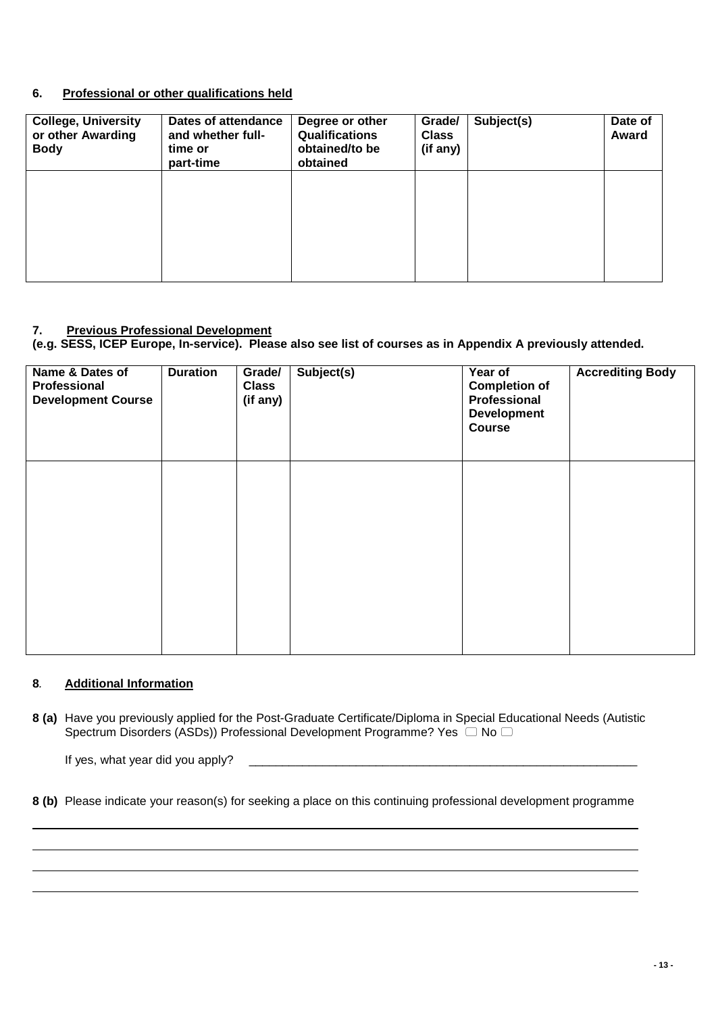## **6. Professional or other qualifications held**

| <b>College, University</b><br>or other Awarding<br><b>Body</b> | Dates of attendance<br>and whether full-<br>time or<br>part-time | Degree or other<br><b>Qualifications</b><br>obtained/to be<br>obtained | Grade/<br><b>Class</b><br>(if any) | Subject(s) | Date of<br>Award |
|----------------------------------------------------------------|------------------------------------------------------------------|------------------------------------------------------------------------|------------------------------------|------------|------------------|
|                                                                |                                                                  |                                                                        |                                    |            |                  |
|                                                                |                                                                  |                                                                        |                                    |            |                  |

## **7. Previous Professional Development**

**(e.g. SESS, ICEP Europe, In-service). Please also see list of courses as in Appendix A previously attended.** 

| Name & Dates of<br>Professional<br><b>Development Course</b> | <b>Duration</b> | Grade/<br><b>Class</b><br>(if any) | Subject(s) | Year of<br><b>Completion of</b><br>Professional<br><b>Development</b><br><b>Course</b> | <b>Accrediting Body</b> |
|--------------------------------------------------------------|-----------------|------------------------------------|------------|----------------------------------------------------------------------------------------|-------------------------|
|                                                              |                 |                                    |            |                                                                                        |                         |
|                                                              |                 |                                    |            |                                                                                        |                         |

## **8**. **Additional Information**

**8 (a)** Have you previously applied for the Post-Graduate Certificate/Diploma in Special Educational Needs (Autistic Spectrum Disorders (ASDs)) Professional Development Programme? Yes  $\Box$  No  $\Box$ 

If yes, what year did you apply?

**8 (b)** Please indicate your reason(s) for seeking a place on this continuing professional development programme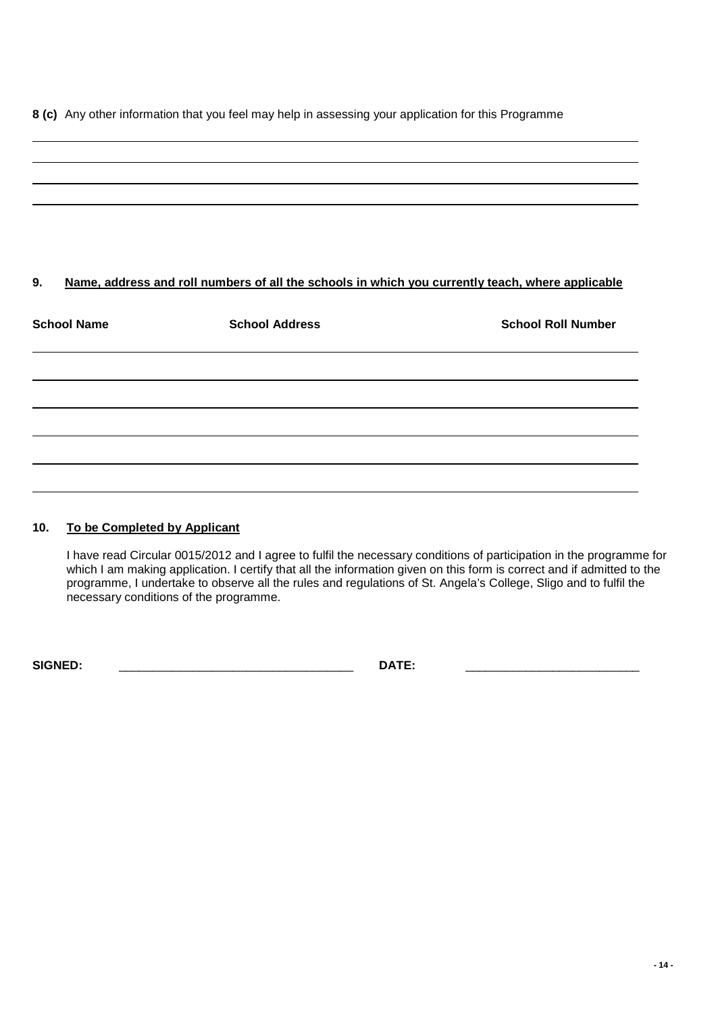**8 (c)** Any other information that you feel may help in assessing your application for this Programme

# **9. Name, address and roll numbers of all the schools in which you currently teach, where applicable School Name School Address School School Roll Number in School Roll Number in School Roll Number**

## **10. To be Completed by Applicant**

I have read Circular 0015/2012 and I agree to fulfil the necessary conditions of participation in the programme for which I am making application. I certify that all the information given on this form is correct and if admitted to the programme, I undertake to observe all the rules and regulations of St. Angela's College, Sligo and to fulfil the necessary conditions of the programme.

**SIGNED:** \_\_\_\_\_\_\_\_\_\_\_\_\_\_\_\_\_\_\_\_\_\_\_\_\_\_\_\_\_\_\_\_\_\_\_ **DATE:** \_\_\_\_\_\_\_\_\_\_\_\_\_\_\_\_\_\_\_\_\_\_\_\_\_\_